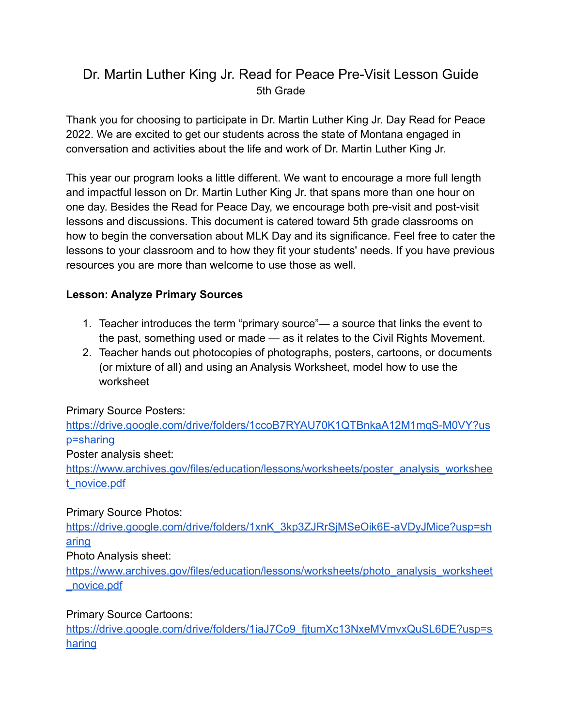# Dr. Martin Luther King Jr. Read for Peace Pre-Visit Lesson Guide 5th Grade

Thank you for choosing to participate in Dr. Martin Luther King Jr. Day Read for Peace 2022. We are excited to get our students across the state of Montana engaged in conversation and activities about the life and work of Dr. Martin Luther King Jr.

This year our program looks a little different. We want to encourage a more full length and impactful lesson on Dr. Martin Luther King Jr. that spans more than one hour on one day. Besides the Read for Peace Day, we encourage both pre-visit and post-visit lessons and discussions. This document is catered toward 5th grade classrooms on how to begin the conversation about MLK Day and its significance. Feel free to cater the lessons to your classroom and to how they fit your students' needs. If you have previous resources you are more than welcome to use those as well.

## **Lesson: Analyze Primary Sources**

- 1. Teacher introduces the term "primary source"— a source that links the event to the past, something used or made — as it relates to the Civil Rights Movement.
- 2. Teacher hands out photocopies of photographs, posters, cartoons, or documents (or mixture of all) and using an Analysis Worksheet, model how to use the worksheet

Primary Source Posters:

[https://drive.google.com/drive/folders/1ccoB7RYAU70K1QTBnkaA12M1mqS-M0VY?us](https://drive.google.com/drive/folders/1ccoB7RYAU70K1QTBnkaA12M1mqS-M0VY?usp=sharing) [p=sharing](https://drive.google.com/drive/folders/1ccoB7RYAU70K1QTBnkaA12M1mqS-M0VY?usp=sharing)

Poster analysis sheet:

[https://www.archives.gov/files/education/lessons/worksheets/poster\\_analysis\\_workshee](https://www.archives.gov/files/education/lessons/worksheets/poster_analysis_worksheet_novice.pdf) [t\\_novice.pdf](https://www.archives.gov/files/education/lessons/worksheets/poster_analysis_worksheet_novice.pdf)

### Primary Source Photos:

[https://drive.google.com/drive/folders/1xnK\\_3kp3ZJRrSjMSeOik6E-aVDyJMice?usp=sh](https://drive.google.com/drive/folders/1xnK_3kp3ZJRrSjMSeOik6E-aVDyJMice?usp=sharing) [aring](https://drive.google.com/drive/folders/1xnK_3kp3ZJRrSjMSeOik6E-aVDyJMice?usp=sharing)

Photo Analysis sheet:

[https://www.archives.gov/files/education/lessons/worksheets/photo\\_analysis\\_worksheet](https://www.archives.gov/files/education/lessons/worksheets/photo_analysis_worksheet_novice.pdf) [\\_novice.pdf](https://www.archives.gov/files/education/lessons/worksheets/photo_analysis_worksheet_novice.pdf)

### Primary Source Cartoons:

https://drive.google.com/drive/folders/1iaJ7Co9\_fitumXc13NxeMVmvxQuSL6DE?usp=s [haring](https://drive.google.com/drive/folders/1iaJ7Co9_fjtumXc13NxeMVmvxQuSL6DE?usp=sharing)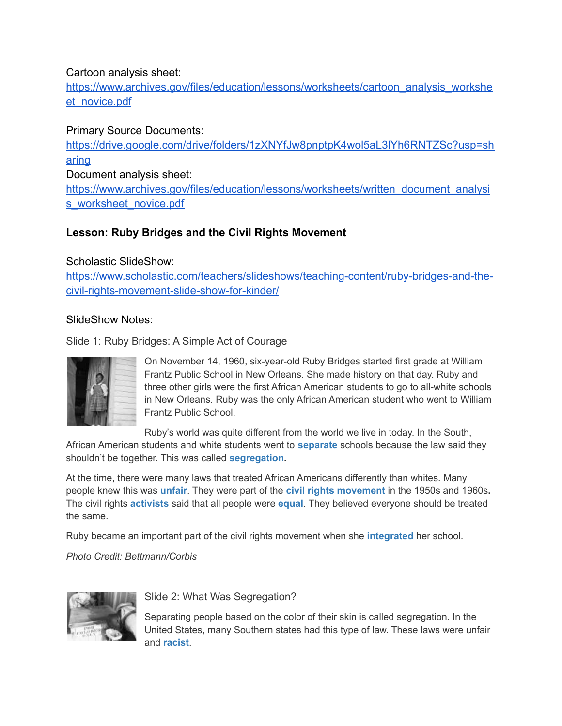#### Cartoon analysis sheet:

[https://www.archives.gov/files/education/lessons/worksheets/cartoon\\_analysis\\_workshe](https://www.archives.gov/files/education/lessons/worksheets/cartoon_analysis_worksheet_novice.pdf) [et\\_novice.pdf](https://www.archives.gov/files/education/lessons/worksheets/cartoon_analysis_worksheet_novice.pdf)

### Primary Source Documents:

[https://drive.google.com/drive/folders/1zXNYfJw8pnptpK4wol5aL3lYh6RNTZSc?usp=sh](https://drive.google.com/drive/folders/1zXNYfJw8pnptpK4wol5aL3lYh6RNTZSc?usp=sharing) [aring](https://drive.google.com/drive/folders/1zXNYfJw8pnptpK4wol5aL3lYh6RNTZSc?usp=sharing)

Document analysis sheet:

[https://www.archives.gov/files/education/lessons/worksheets/written\\_document\\_analysi](https://www.archives.gov/files/education/lessons/worksheets/written_document_analysis_worksheet_novice.pdf) [s\\_worksheet\\_novice.pdf](https://www.archives.gov/files/education/lessons/worksheets/written_document_analysis_worksheet_novice.pdf)

## **Lesson: Ruby Bridges and the Civil Rights Movement**

#### Scholastic SlideShow:

[https://www.scholastic.com/teachers/slideshows/teaching-content/ruby-bridges-and-the](https://www.scholastic.com/teachers/slideshows/teaching-content/ruby-bridges-and-the-civil-rights-movement-slide-show-for-kinder/)[civil-rights-movement-slide-show-for-kinder/](https://www.scholastic.com/teachers/slideshows/teaching-content/ruby-bridges-and-the-civil-rights-movement-slide-show-for-kinder/)

#### SlideShow Notes:

Slide 1: Ruby Bridges: A Simple Act of Courage

On November 14, 1960, six-year-old Ruby Bridges started first grade at William Frantz Public School in New Orleans. She made history on that day. Ruby and three other girls were the first African American students to go to all-white schools in New Orleans. Ruby was the only African American student who went to William Frantz Public School.

Ruby's world was quite different from the world we live in today. In the South,

African American students and white students went to **[separate](http://www.scholastic.com/teachers/article/ruby-bridges-and-civil-rights-movement-slide-show-vocabulary-kindergarten-grade-2#separate)** schools because the law said they shouldn't be together. This was called **[segregation.](http://www.scholastic.com/teachers/article/ruby-bridges-and-civil-rights-movement-slide-show-vocabulary-kindergarten-grade-2#segregation)**

At the time, there were many laws that treated African Americans differently than whites. Many people knew this was **[unfair](http://www.scholastic.com/teachers/article/ruby-bridges-and-civil-rights-movement-slide-show-vocabulary-kindergarten-grade-2#unfair)**. They were part of the **[civil rights movement](http://www.scholastic.com/teachers/article/ruby-bridges-and-civil-rights-movement-slide-show-vocabulary-kindergarten-grade-2#civil-rights-movement)** in the 1950s and 1960s**.** The civil rights **[activists](http://www.scholastic.com/teachers/article/ruby-bridges-and-civil-rights-movement-slide-show-vocabulary-kindergarten-grade-2#activist)** said that all people were **[equal](http://www.scholastic.com/teachers/article/ruby-bridges-and-civil-rights-movement-slide-show-vocabulary-kindergarten-grade-2#equal)**. They believed everyone should be treated the same.

Ruby became an important part of the civil rights movement when she **[integrated](http://www.scholastic.com/teachers/article/ruby-bridges-and-civil-rights-movement-slide-show-vocabulary-kindergarten-grade-2#integrate)** her school.

*Photo Credit: Bettmann/Corbis*



Slide 2: What Was Segregation?

Separating people based on the color of their skin is called segregation. In the United States, many Southern states had this type of law. These laws were unfair and **[racist](http://www.scholastic.com/teachers/article/ruby-bridges-and-civil-rights-movement-slide-show-vocabulary-kindergarten-grade-2#racist)**.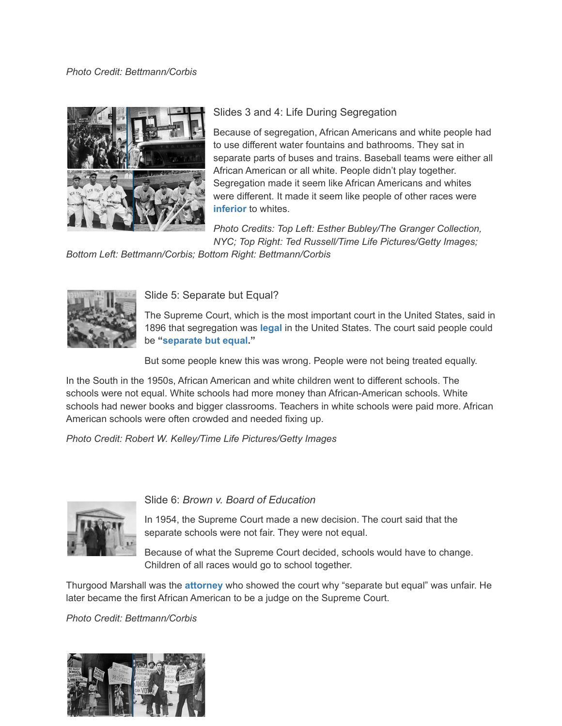#### *Photo Credit: Bettmann/Corbis*



#### Slides 3 and 4: Life During Segregation

Because of segregation, African Americans and white people had to use different water fountains and bathrooms. They sat in separate parts of buses and trains. Baseball teams were either all African American or all white. People didn't play together. Segregation made it seem like African Americans and whites were different. It made it seem like people of other races were **[inferior](http://www.scholastic.com/teachers/article/ruby-bridges-and-civil-rights-movement-slide-show-vocabulary-kindergarten-grade-2#inferior)** to whites.

*Photo Credits: Top Left: Esther Bubley/The Granger Collection, NYC; Top Right: Ted Russell/Time Life Pictures/Getty Images;*

*Bottom Left: Bettmann/Corbis; Bottom Right: Bettmann/Corbis*



Slide 5: Separate but Equal?

The Supreme Court, which is the most important court in the United States, said in 1896 that segregation was **[legal](http://www.scholastic.com/teachers/article/ruby-bridges-and-civil-rights-movement-slide-show-vocabulary-kindergarten-grade-2#legal)** in the United States. The court said people could be **["separate but equal](http://www.scholastic.com/teachers/article/ruby-bridges-and-civil-rights-movement-slide-show-vocabulary-kindergarten-grade-2#separate-but-equal)."**

But some people knew this was wrong. People were not being treated equally.

In the South in the 1950s, African American and white children went to different schools. The schools were not equal. White schools had more money than African-American schools. White schools had newer books and bigger classrooms. Teachers in white schools were paid more. African American schools were often crowded and needed fixing up.

*Photo Credit: Robert W. Kelley/Time Life Pictures/Getty Images*



Slide 6: *Brown v. Board of Education*

In 1954, the Supreme Court made a new decision. The court said that the separate schools were not fair. They were not equal.

Because of what the Supreme Court decided, schools would have to change. Children of all races would go to school together.

Thurgood Marshall was the **[attorney](http://www.scholastic.com/teachers/article/ruby-bridges-and-civil-rights-movement-slide-show-vocabulary-kindergarten-grade-2#attorney)** who showed the court why "separate but equal" was unfair. He later became the first African American to be a judge on the Supreme Court.

*Photo Credit: Bettmann/Corbis*

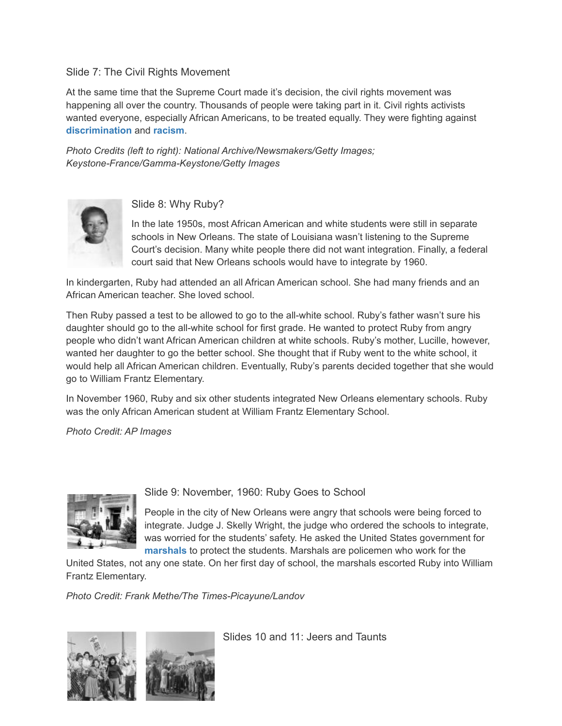#### Slide 7: The Civil Rights Movement

At the same time that the Supreme Court made it's decision, the civil rights movement was happening all over the country. Thousands of people were taking part in it. Civil rights activists wanted everyone, especially African Americans, to be treated equally. They were fighting against **[discrimination](http://www.scholastic.com/teachers/article/ruby-bridges-and-civil-rights-movement-slide-show-vocabulary-kindergarten-grade-2#discrimination)** and **[racism](http://www.scholastic.com/teachers/article/ruby-bridges-and-civil-rights-movement-slide-show-vocabulary-kindergarten-grade-2#racism)**.

*Photo Credits (left to right): National Archive/Newsmakers/Getty Images; Keystone-France/Gamma-Keystone/Getty Images*



Slide 8: Why Ruby?

In the late 1950s, most African American and white students were still in separate schools in New Orleans. The state of Louisiana wasn't listening to the Supreme Court's decision. Many white people there did not want integration. Finally, a federal court said that New Orleans schools would have to integrate by 1960.

In kindergarten, Ruby had attended an all African American school. She had many friends and an African American teacher. She loved school.

Then Ruby passed a test to be allowed to go to the all-white school. Ruby's father wasn't sure his daughter should go to the all-white school for first grade. He wanted to protect Ruby from angry people who didn't want African American children at white schools. Ruby's mother, Lucille, however, wanted her daughter to go the better school. She thought that if Ruby went to the white school, it would help all African American children. Eventually, Ruby's parents decided together that she would go to William Frantz Elementary.

In November 1960, Ruby and six other students integrated New Orleans elementary schools. Ruby was the only African American student at William Frantz Elementary School.

*Photo Credit: AP Images*



Slide 9: November, 1960: Ruby Goes to School

People in the city of New Orleans were angry that schools were being forced to integrate. Judge J. Skelly Wright, the judge who ordered the schools to integrate, was worried for the students' safety. He asked the United States government for **[marshals](http://www.scholastic.com/teachers/article/ruby-bridges-and-civil-rights-movement-slide-show-vocabulary-kindergarten-grade-2#marshal)** to protect the students. Marshals are policemen who work for the

United States, not any one state. On her first day of school, the marshals escorted Ruby into William Frantz Elementary.

*Photo Credit: Frank Methe/The Times-Picayune/Landov*



Slides 10 and 11: Jeers and Taunts